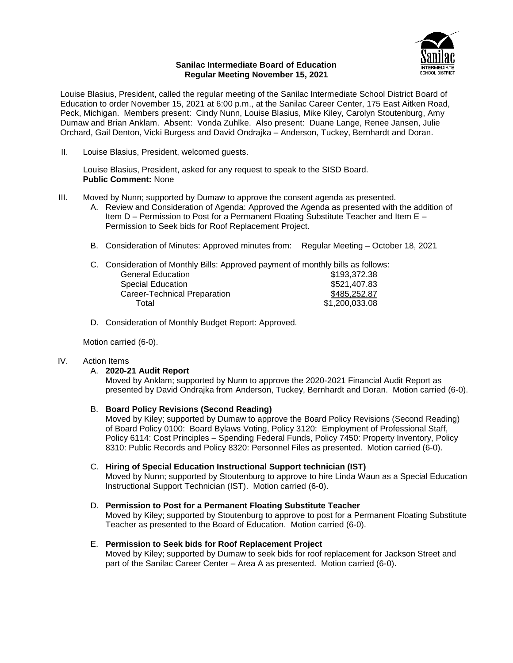

### **Sanilac Intermediate Board of Education Regular Meeting November 15, 2021**

Louise Blasius, President, called the regular meeting of the Sanilac Intermediate School District Board of Education to order November 15, 2021 at 6:00 p.m., at the Sanilac Career Center, 175 East Aitken Road, Peck, Michigan. Members present: Cindy Nunn, Louise Blasius, Mike Kiley, Carolyn Stoutenburg, Amy Dumaw and Brian Anklam. Absent: Vonda Zuhlke. Also present: Duane Lange, Renee Jansen, Julie Orchard, Gail Denton, Vicki Burgess and David Ondrajka – Anderson, Tuckey, Bernhardt and Doran.

II. Louise Blasius, President, welcomed guests.

Louise Blasius, President, asked for any request to speak to the SISD Board. **Public Comment:** None

- III. Moved by Nunn; supported by Dumaw to approve the consent agenda as presented.
	- A. Review and Consideration of Agenda: Approved the Agenda as presented with the addition of Item D – Permission to Post for a Permanent Floating Substitute Teacher and Item E – Permission to Seek bids for Roof Replacement Project.
	- B. Consideration of Minutes: Approved minutes from: Regular Meeting October 18, 2021

| <b>General Education</b>            | \$193,372.38                                                                     |
|-------------------------------------|----------------------------------------------------------------------------------|
| <b>Special Education</b>            | \$521,407.83                                                                     |
| <b>Career-Technical Preparation</b> | \$485,252.87                                                                     |
| Total                               | \$1,200,033.08                                                                   |
|                                     | C. Consideration of Monthly Bills: Approved payment of monthly bills as follows: |

D. Consideration of Monthly Budget Report: Approved.

Motion carried (6-0).

# IV. Action Items

### A. **2020-21 Audit Report**

Moved by Anklam; supported by Nunn to approve the 2020-2021 Financial Audit Report as presented by David Ondrajka from Anderson, Tuckey, Bernhardt and Doran. Motion carried (6-0).

### B. **Board Policy Revisions (Second Reading)**

Moved by Kiley; supported by Dumaw to approve the Board Policy Revisions (Second Reading) of Board Policy 0100: Board Bylaws Voting, Policy 3120: Employment of Professional Staff, Policy 6114: Cost Principles – Spending Federal Funds, Policy 7450: Property Inventory, Policy 8310: Public Records and Policy 8320: Personnel Files as presented. Motion carried (6-0).

### C. **Hiring of Special Education Instructional Support technician (IST)**

Moved by Nunn; supported by Stoutenburg to approve to hire Linda Waun as a Special Education Instructional Support Technician (IST). Motion carried (6-0).

### D. **Permission to Post for a Permanent Floating Substitute Teacher**

Moved by Kiley; supported by Stoutenburg to approve to post for a Permanent Floating Substitute Teacher as presented to the Board of Education. Motion carried (6-0).

### E. **Permission to Seek bids for Roof Replacement Project**

Moved by Kiley; supported by Dumaw to seek bids for roof replacement for Jackson Street and part of the Sanilac Career Center – Area A as presented. Motion carried (6-0).